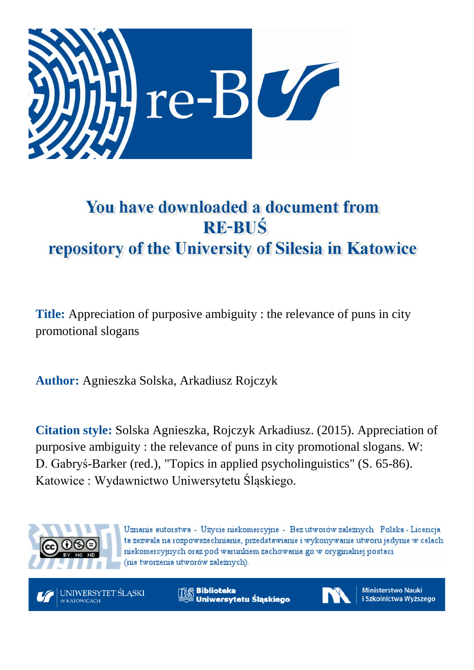

# You have downloaded a document from **RE-BUŚ** repository of the University of Silesia in Katowice

**Title:** Appreciation of purposive ambiguity : the relevance of puns in city promotional slogans

**Author:** Agnieszka Solska, Arkadiusz Rojczyk

**Citation style:** Solska Agnieszka, Rojczyk Arkadiusz. (2015). Appreciation of purposive ambiguity : the relevance of puns in city promotional slogans. W: D. Gabryś-Barker (red.), "Topics in applied psycholinguistics" (S. 65-86). Katowice : Wydawnictwo Uniwersytetu Śląskiego.



Uznanie autorstwa - Użycie niekomercyjne - Bez utworów zależnych Polska - Licencja ta zezwala na rozpowszechnianie, przedstawianie i wykonywanie utworu jedynie w celach niekomercyjnych oraz pod warunkiem zachowania go w oryginalnej postaci (nie tworzenia utworów zależnych).



**Biblioteka** Uniwersytetu Śląskiego



**Ministerstwo Nauki** i Szkolnictwa Wyższego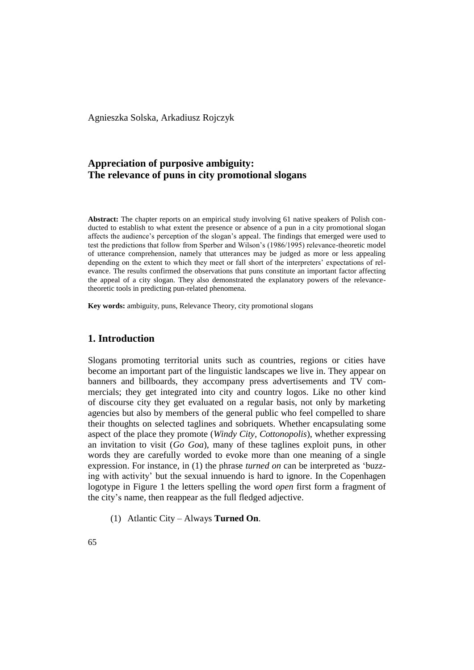Agnieszka Solska, Arkadiusz Rojczyk

# **Appreciation of purposive ambiguity: The relevance of puns in city promotional slogans**

**Abstract:** The chapter reports on an empirical study involving 61 native speakers of Polish conducted to establish to what extent the presence or absence of a pun in a city promotional slogan affects the audience's perception of the slogan's appeal. The findings that emerged were used to test the predictions that follow from Sperber and Wilson's (1986/1995) relevance-theoretic model of utterance comprehension, namely that utterances may be judged as more or less appealing depending on the extent to which they meet or fall short of the interpreters' expectations of relevance. The results confirmed the observations that puns constitute an important factor affecting the appeal of a city slogan. They also demonstrated the explanatory powers of the relevancetheoretic tools in predicting pun-related phenomena.

**Key words:** ambiguity, puns, Relevance Theory, city promotional slogans

# **1. Introduction**

Slogans promoting territorial units such as countries, regions or cities have become an important part of the linguistic landscapes we live in. They appear on banners and billboards, they accompany press advertisements and TV commercials; they get integrated into city and country logos. Like no other kind of discourse city they get evaluated on a regular basis, not only by marketing agencies but also by members of the general public who feel compelled to share their thoughts on selected taglines and sobriquets. Whether encapsulating some aspect of the place they promote (*Windy City, Cottonopolis*), whether expressing an invitation to visit (*Go Goa*), many of these taglines exploit puns, in other words they are carefully worded to evoke more than one meaning of a single expression. For instance, in (1) the phrase *turned on* can be interpreted as 'buzzing with activity' but the sexual innuendo is hard to ignore. In the Copenhagen logotype in Figure 1 the letters spelling the word *open* first form a fragment of the city's name, then reappear as the full fledged adjective.

(1) Atlantic City – Always **Turned On**.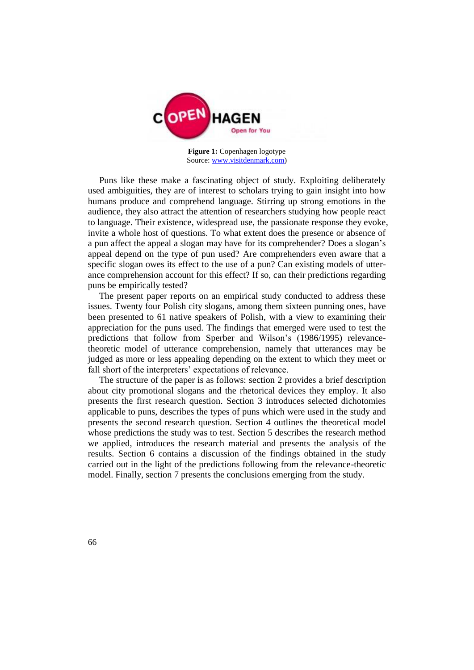

**Figure 1:** Copenhagen logotype Source: [www.visitdenmark.com\)](http://www.visitdenmark.com/)

Puns like these make a fascinating object of study. Exploiting deliberately used ambiguities, they are of interest to scholars trying to gain insight into how humans produce and comprehend language. Stirring up strong emotions in the audience, they also attract the attention of researchers studying how people react to language. Their existence, widespread use, the passionate response they evoke, invite a whole host of questions. To what extent does the presence or absence of a pun affect the appeal a slogan may have for its comprehender? Does a slogan's appeal depend on the type of pun used? Are comprehenders even aware that a specific slogan owes its effect to the use of a pun? Can existing models of utterance comprehension account for this effect? If so, can their predictions regarding puns be empirically tested?

The present paper reports on an empirical study conducted to address these issues. Twenty four Polish city slogans, among them sixteen punning ones, have been presented to 61 native speakers of Polish, with a view to examining their appreciation for the puns used. The findings that emerged were used to test the predictions that follow from Sperber and Wilson's (1986/1995) relevancetheoretic model of utterance comprehension, namely that utterances may be judged as more or less appealing depending on the extent to which they meet or fall short of the interpreters' expectations of relevance.

The structure of the paper is as follows: section 2 provides a brief description about city promotional slogans and the rhetorical devices they employ. It also presents the first research question. Section 3 introduces selected dichotomies applicable to puns, describes the types of puns which were used in the study and presents the second research question. Section 4 outlines the theoretical model whose predictions the study was to test. Section 5 describes the research method we applied, introduces the research material and presents the analysis of the results. Section 6 contains a discussion of the findings obtained in the study carried out in the light of the predictions following from the relevance-theoretic model. Finally, section 7 presents the conclusions emerging from the study.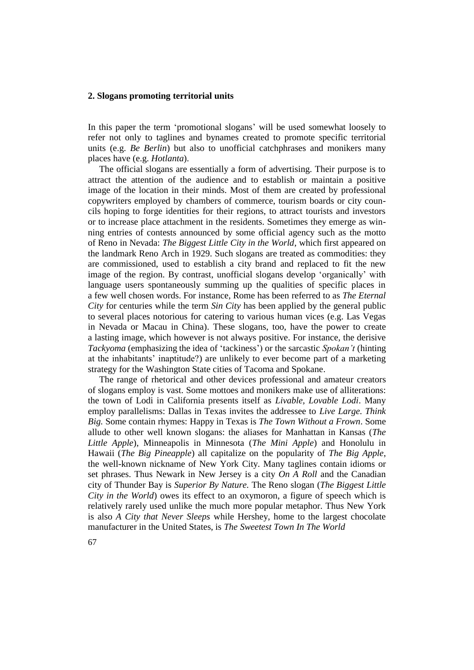#### **2. Slogans promoting territorial units**

In this paper the term 'promotional slogans' will be used somewhat loosely to refer not only to taglines and bynames created to promote specific territorial units (e.g. *Be Berlin*) but also to unofficial catchphrases and monikers many places have (e.g. *Hotlanta*).

The official slogans are essentially a form of advertising. Their purpose is to attract the attention of the audience and to establish or maintain a positive image of the location in their minds. Most of them are created by professional copywriters employed by chambers of commerce, tourism boards or city councils hoping to forge identities for their regions, to attract tourists and investors or to increase place attachment in the residents. Sometimes they emerge as winning entries of contests announced by some official agency such as the motto of Reno in Nevada: *The Biggest Little City in the World*, which first appeared on the landmark Reno Arch in 1929. Such slogans are treated as commodities: they are commissioned, used to establish a city brand and replaced to fit the new image of the region. By contrast, unofficial slogans develop 'organically' with language users spontaneously summing up the qualities of specific places in a few well chosen words. For instance, Rome has been referred to as *The Eternal City* for centuries while the term *Sin City* has been applied by the general public to several places notorious for catering to various human vices (e.g. Las Vegas in Nevada or Macau in China). These slogans, too, have the power to create a lasting image, which however is not always positive. For instance, the derisive *Tackyoma* (emphasizing the idea of 'tackiness') or the sarcastic *Spokan't* (hinting at the inhabitants' inaptitude?) are unlikely to ever become part of a marketing strategy for the Washington State cities of Tacoma and Spokane.

The range of rhetorical and other devices professional and amateur creators of slogans employ is vast. Some mottoes and monikers make use of alliterations: the town of Lodi in California presents itself as *Livable, Lovable Lodi*. Many employ parallelisms: Dallas in Texas invites the addressee to *Live Large. Think Big.* Some contain rhymes: Happy in Texas is *The Town Without a Frown*. Some allude to other well known slogans: the aliases for Manhattan in Kansas (*The Little Apple*), Minneapolis in Minnesota (*The Mini Apple*) and Honolulu in Hawaii (*The Big Pineapple*) all capitalize on the popularity of *The Big Apple*, the well-known nickname of New York City. Many taglines contain idioms or set phrases. Thus Newark in New Jersey is a city *On A Roll* and the Canadian city of Thunder Bay is *Superior By Nature.* The Reno slogan (*The Biggest Little City in the World*) owes its effect to an oxymoron, a figure of speech which is relatively rarely used unlike the much more popular metaphor. Thus New York is also *A City that Never Sleeps* while Hershey, home to the largest chocolate manufacturer in the United States, is *The Sweetest Town In The World*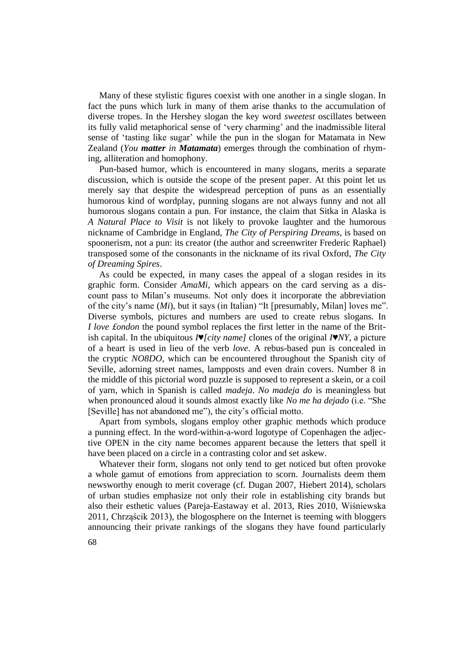Many of these stylistic figures coexist with one another in a single slogan. In fact the puns which lurk in many of them arise thanks to the accumulation of diverse tropes. In the Hershey slogan the key word *sweetest* oscillates between its fully valid metaphorical sense of 'very charming' and the inadmissible literal sense of 'tasting like sugar' while the pun in the slogan for Matamata in New Zealand (*You matter in Matamata*) emerges through the combination of rhyming, alliteration and homophony.

Pun-based humor, which is encountered in many slogans, merits a separate discussion, which is outside the scope of the present paper. At this point let us merely say that despite the widespread perception of puns as an essentially humorous kind of wordplay, punning slogans are not always funny and not all humorous slogans contain a pun. For instance, the claim that Sitka in Alaska is *A Natural Place to Visit* is not likely to provoke laughter and the humorous nickname of Cambridge in England, *The City of Perspiring Dreams*, is based on spoonerism, not a pun: its creator (the author and screenwriter Frederic Raphael) transposed some of the consonants in the nickname of its rival Oxford, *The City of Dreaming Spires*.

As could be expected, in many cases the appeal of a slogan resides in its graphic form. Consider *AmaMi*, which appears on the card serving as a discount pass to Milan's museums. Not only does it incorporate the abbreviation of the city's name (*Mi*), but it says (in Italian) "It [presumably, Milan] loves me". Diverse symbols, pictures and numbers are used to create rebus slogans. In *I love £ondon* the pound symbol replaces the first letter in the name of the British capital. In the ubiquitous *I♥[city name]* clones of the original *I♥NY*, a picture of a heart is used in lieu of the verb *love*. A rebus-based pun is concealed in the cryptic *NO8DO*, which can be encountered throughout the Spanish city of Seville, adorning street names, lampposts and even drain covers. Number 8 in the middle of this pictorial word puzzle is supposed to represent a skein, or a coil of yarn, which in Spanish is called *madeja*. *No madeja do* is meaningless but when pronounced aloud it sounds almost exactly like *No me ha dejado* (i.e. "She [Seville] has not abandoned me"), the city's official motto.

Apart from symbols, slogans employ other graphic methods which produce a punning effect. In the word-within-a-word logotype of Copenhagen the adjective OPEN in the city name becomes apparent because the letters that spell it have been placed on a circle in a contrasting color and set askew.

Whatever their form, slogans not only tend to get noticed but often provoke a whole gamut of emotions from appreciation to scorn. Journalists deem them newsworthy enough to merit coverage (cf. Dugan 2007, Hiebert 2014), scholars of urban studies emphasize not only their role in establishing city brands but also their esthetic values (Pareja-Eastaway et al. 2013, Ries 2010, Wiśniewska 2011, Chrząścik 2013), the blogosphere on the Internet is teeming with bloggers announcing their private rankings of the slogans they have found particularly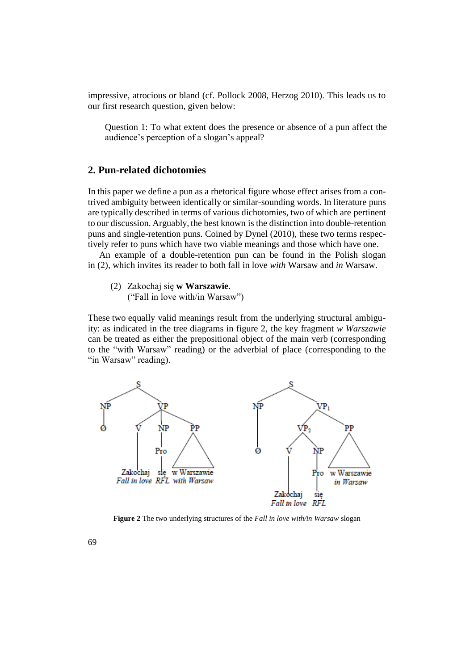impressive, atrocious or bland (cf. Pollock 2008, Herzog 2010). This leads us to our first research question, given below:

Question 1: To what extent does the presence or absence of a pun affect the audience's perception of a slogan's appeal?

# **2. Pun-related dichotomies**

In this paper we define a pun as a rhetorical figure whose effect arises from a contrived ambiguity between identically or similar-sounding words. In literature puns are typically described in terms of various dichotomies, two of which are pertinent to our discussion. Arguably, the best known is the distinction into double-retention puns and single-retention puns. Coined by Dynel (2010), these two terms respectively refer to puns which have two viable meanings and those which have one.

An example of a double-retention pun can be found in the Polish slogan in (2), which invites its reader to both fall in love *with* Warsaw and *in* Warsaw.

(2) Zakochaj się **w Warszawie**.

("Fall in love with/in Warsaw")

These two equally valid meanings result from the underlying structural ambiguity: as indicated in the tree diagrams in figure 2, the key fragment *w Warszawie*  can be treated as either the prepositional object of the main verb (corresponding to the "with Warsaw" reading) or the adverbial of place (corresponding to the "in Warsaw" reading).



**Figure 2** The two underlying structures of the *Fall in love with/in Warsaw* slogan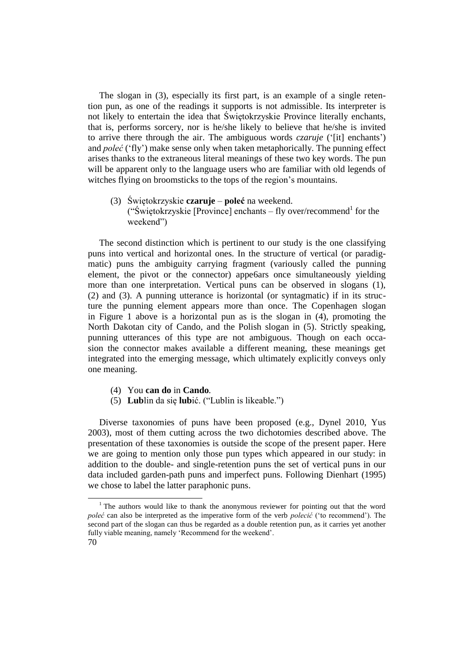The slogan in (3), especially its first part, is an example of a single retention pun, as one of the readings it supports is not admissible. Its interpreter is not likely to entertain the idea that Świętokrzyskie Province literally enchants, that is, performs sorcery, nor is he/she likely to believe that he/she is invited to arrive there through the air. The ambiguous words *czaruje* ('[it] enchants') and *poleć* ('fly') make sense only when taken metaphorically. The punning effect arises thanks to the extraneous literal meanings of these two key words. The pun will be apparent only to the language users who are familiar with old legends of witches flying on broomsticks to the tops of the region's mountains.

(3) Świętokrzyskie **czaruje** – **poleć** na weekend. ("Świętokrzyskie [Province] enchants – fly over/recommend<sup>1</sup> for the weekend")

The second distinction which is pertinent to our study is the one classifying puns into vertical and horizontal ones. In the structure of vertical (or paradigmatic) puns the ambiguity carrying fragment (variously called the punning element, the pivot or the connector) appe6ars once simultaneously yielding more than one interpretation. Vertical puns can be observed in slogans (1), (2) and (3). A punning utterance is horizontal (or syntagmatic) if in its structure the punning element appears more than once. The Copenhagen slogan in Figure 1 above is a horizontal pun as is the slogan in (4), promoting the North Dakotan city of Cando, and the Polish slogan in (5). Strictly speaking, punning utterances of this type are not ambiguous. Though on each occasion the connector makes available a different meaning, these meanings get integrated into the emerging message, which ultimately explicitly conveys only one meaning.

- (4) You **can do** in **Cando***.*
- (5) **Lub**lin da się **lub**ić. ("Lublin is likeable.")

Diverse taxonomies of puns have been proposed (e.g., Dynel 2010, Yus 2003), most of them cutting across the two dichotomies described above. The presentation of these taxonomies is outside the scope of the present paper. Here we are going to mention only those pun types which appeared in our study: in addition to the double- and single-retention puns the set of vertical puns in our data included garden-path puns and imperfect puns. Following Dienhart (1995) we chose to label the latter paraphonic puns.

 $\overline{a}$ 

<sup>&</sup>lt;sup>1</sup> The authors would like to thank the anonymous reviewer for pointing out that the word *poleć* can also be interpreted as the imperative form of the verb *polecić* ('to recommend'). The second part of the slogan can thus be regarded as a double retention pun, as it carries yet another fully viable meaning, namely 'Recommend for the weekend'.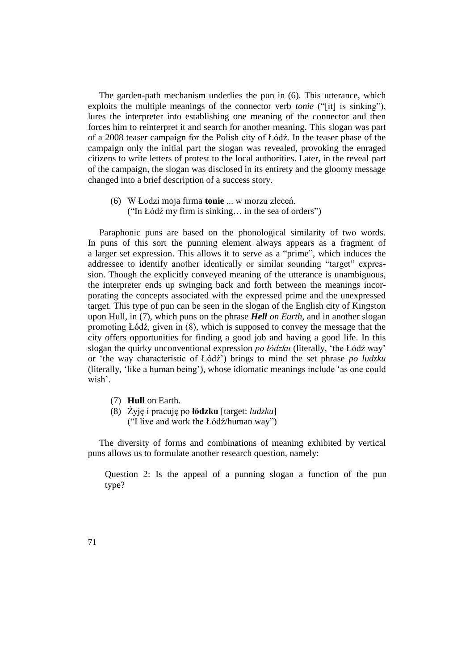The garden-path mechanism underlies the pun in (6). This utterance, which exploits the multiple meanings of the connector verb *tonie* ("[it] is sinking"), lures the interpreter into establishing one meaning of the connector and then forces him to reinterpret it and search for another meaning. This slogan was part of a 2008 teaser campaign for the Polish city of Łódź. In the teaser phase of the campaign only the initial part the slogan was revealed, provoking the enraged citizens to write letters of protest to the local authorities. Later, in the reveal part of the campaign, the slogan was disclosed in its entirety and the gloomy message changed into a brief description of a success story.

(6) W Łodzi moja firma **tonie** ... w morzu zleceń*.* ("In Łódź my firm is sinking… in the sea of orders")

Paraphonic puns are based on the phonological similarity of two words. In puns of this sort the punning element always appears as a fragment of a larger set expression. This allows it to serve as a "prime", which induces the addressee to identify another identically or similar sounding "target" expression. Though the explicitly conveyed meaning of the utterance is unambiguous, the interpreter ends up swinging back and forth between the meanings incorporating the concepts associated with the expressed prime and the unexpressed target. This type of pun can be seen in the slogan of the English city of Kingston upon Hull, in (7), which puns on the phrase *Hell on Earth*, and in another slogan promoting Łódź, given in (8), which is supposed to convey the message that the city offers opportunities for finding a good job and having a good life. In this slogan the quirky unconventional expression *po łódzku* (literally, 'the Łódź way' or 'the way characteristic of Łódź') brings to mind the set phrase *po ludzku*  (literally, 'like a human being'), whose idiomatic meanings include 'as one could wish'.

- (7) **Hull** on Earth.
- (8) Żyję i pracuję po **łódzku** [target: *ludzku*] ("I live and work the Łódź/human way")

The diversity of forms and combinations of meaning exhibited by vertical puns allows us to formulate another research question, namely:

Question 2: Is the appeal of a punning slogan a function of the pun type?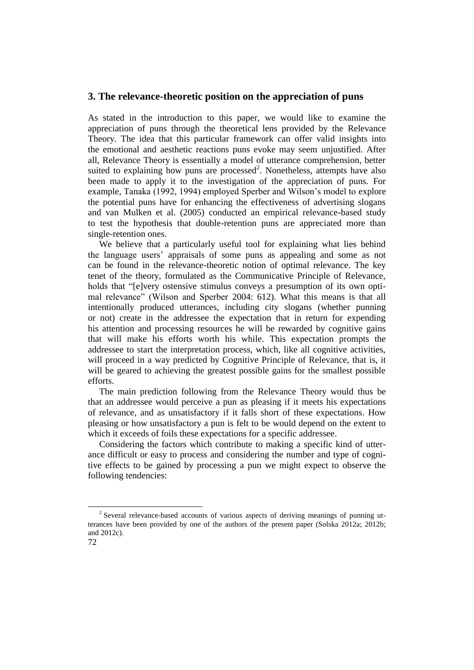## **3. The relevance-theoretic position on the appreciation of puns**

As stated in the introduction to this paper, we would like to examine the appreciation of puns through the theoretical lens provided by the Relevance Theory. The idea that this particular framework can offer valid insights into the emotional and aesthetic reactions puns evoke may seem unjustified. After all, Relevance Theory is essentially a model of utterance comprehension, better suited to explaining how puns are processed<sup>2</sup>. Nonetheless, attempts have also been made to apply it to the investigation of the appreciation of puns. For example, Tanaka (1992, 1994) employed Sperber and Wilson's model to explore the potential puns have for enhancing the effectiveness of advertising slogans and van Mulken et al. (2005) conducted an empirical relevance-based study to test the hypothesis that double-retention puns are appreciated more than single-retention ones.

We believe that a particularly useful tool for explaining what lies behind the language users' appraisals of some puns as appealing and some as not can be found in the relevance-theoretic notion of optimal relevance. The key tenet of the theory, formulated as the Communicative Principle of Relevance, holds that "[e]very ostensive stimulus conveys a presumption of its own optimal relevance" (Wilson and Sperber 2004: 612). What this means is that all intentionally produced utterances, including city slogans (whether punning or not) create in the addressee the expectation that in return for expending his attention and processing resources he will be rewarded by cognitive gains that will make his efforts worth his while. This expectation prompts the addressee to start the interpretation process, which, like all cognitive activities, will proceed in a way predicted by Cognitive Principle of Relevance, that is, it will be geared to achieving the greatest possible gains for the smallest possible efforts.

The main prediction following from the Relevance Theory would thus be that an addressee would perceive a pun as pleasing if it meets his expectations of relevance, and as unsatisfactory if it falls short of these expectations. How pleasing or how unsatisfactory a pun is felt to be would depend on the extent to which it exceeds of foils these expectations for a specific addressee.

Considering the factors which contribute to making a specific kind of utterance difficult or easy to process and considering the number and type of cognitive effects to be gained by processing a pun we might expect to observe the following tendencies:

 $\overline{a}$ 

 $2$  Several relevance-based accounts of various aspects of deriving meanings of punning utterances have been provided by one of the authors of the present paper (Solska 2012a; 2012b; and 2012c).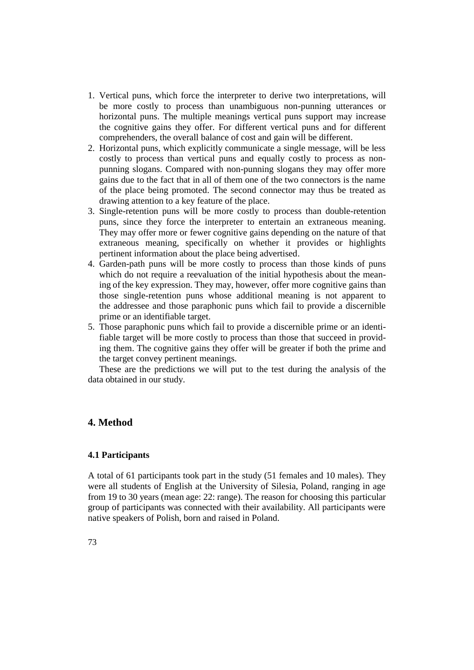- 1. Vertical puns, which force the interpreter to derive two interpretations, will be more costly to process than unambiguous non-punning utterances or horizontal puns. The multiple meanings vertical puns support may increase the cognitive gains they offer. For different vertical puns and for different comprehenders, the overall balance of cost and gain will be different.
- 2. Horizontal puns, which explicitly communicate a single message, will be less costly to process than vertical puns and equally costly to process as nonpunning slogans. Compared with non-punning slogans they may offer more gains due to the fact that in all of them one of the two connectors is the name of the place being promoted. The second connector may thus be treated as drawing attention to a key feature of the place.
- 3. Single-retention puns will be more costly to process than double-retention puns, since they force the interpreter to entertain an extraneous meaning. They may offer more or fewer cognitive gains depending on the nature of that extraneous meaning, specifically on whether it provides or highlights pertinent information about the place being advertised.
- 4. Garden-path puns will be more costly to process than those kinds of puns which do not require a reevaluation of the initial hypothesis about the meaning of the key expression. They may, however, offer more cognitive gains than those single-retention puns whose additional meaning is not apparent to the addressee and those paraphonic puns which fail to provide a discernible prime or an identifiable target.
- 5. Those paraphonic puns which fail to provide a discernible prime or an identifiable target will be more costly to process than those that succeed in providing them. The cognitive gains they offer will be greater if both the prime and the target convey pertinent meanings.

These are the predictions we will put to the test during the analysis of the data obtained in our study.

# **4. Method**

### **4.1 Participants**

A total of 61 participants took part in the study (51 females and 10 males). They were all students of English at the University of Silesia, Poland, ranging in age from 19 to 30 years (mean age: 22: range). The reason for choosing this particular group of participants was connected with their availability. All participants were native speakers of Polish, born and raised in Poland.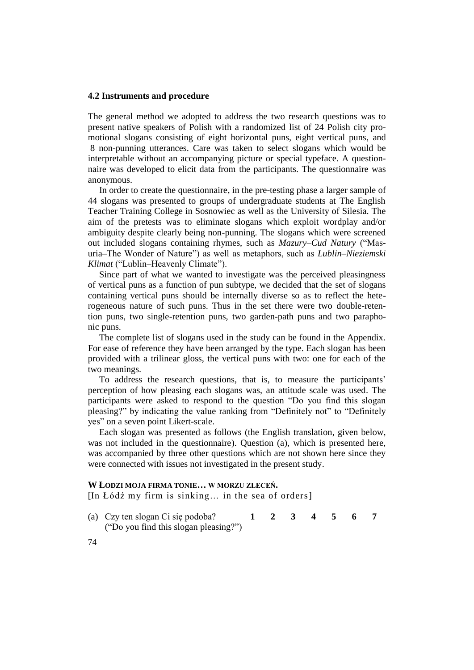#### **4.2 Instruments and procedure**

The general method we adopted to address the two research questions was to present native speakers of Polish with a randomized list of 24 Polish city promotional slogans consisting of eight horizontal puns, eight vertical puns, and 8 non-punning utterances. Care was taken to select slogans which would be interpretable without an accompanying picture or special typeface. A questionnaire was developed to elicit data from the participants. The questionnaire was anonymous.

In order to create the questionnaire, in the pre-testing phase a larger sample of 44 slogans was presented to groups of undergraduate students at The English Teacher Training College in Sosnowiec as well as the University of Silesia. The aim of the pretests was to eliminate slogans which exploit wordplay and/or ambiguity despite clearly being non-punning. The slogans which were screened out included slogans containing rhymes, such as *Mazury–Cud Natury* ("Masuria–The Wonder of Nature") as well as metaphors, such as *Lublin–Nieziemski Klimat* ("Lublin–Heavenly Climate").

Since part of what we wanted to investigate was the perceived pleasingness of vertical puns as a function of pun subtype, we decided that the set of slogans containing vertical puns should be internally diverse so as to reflect the heterogeneous nature of such puns. Thus in the set there were two double-retention puns, two single-retention puns, two garden-path puns and two paraphonic puns.

The complete list of slogans used in the study can be found in the Appendix. For ease of reference they have been arranged by the type. Each slogan has been provided with a trilinear gloss, the vertical puns with two: one for each of the two meanings.

To address the research questions, that is, to measure the participants' perception of how pleasing each slogans was, an attitude scale was used. The participants were asked to respond to the question "Do you find this slogan pleasing?" by indicating the value ranking from "Definitely not" to "Definitely yes" on a seven point Likert-scale.

Each slogan was presented as follows (the English translation, given below, was not included in the questionnaire). Question (a), which is presented here, was accompanied by three other questions which are not shown here since they were connected with issues not investigated in the present study.

## **W ŁODZI MOJA FIRMA TONIE… W MORZU ZLECEŃ.**

[In Łódź my firm is sinking… in the sea of orders]

- (a) Czy ten slogan Ci się podoba? **1 2 3 4 5 6 7** ("Do you find this slogan pleasing?")
- 74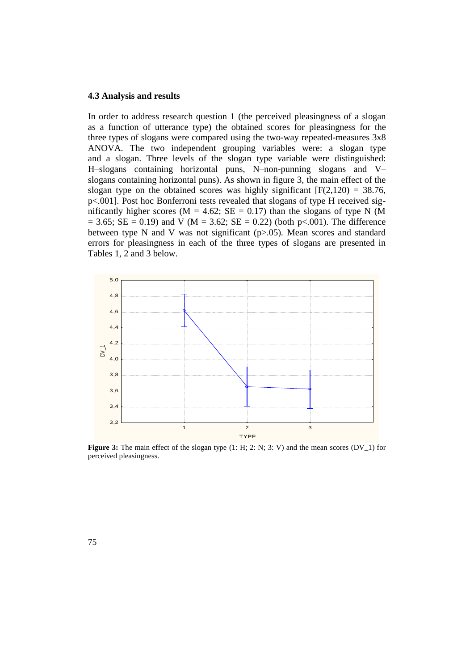## **4.3 Analysis and results**

In order to address research question 1 (the perceived pleasingness of a slogan as a function of utterance type) the obtained scores for pleasingness for the three types of slogans were compared using the two-way repeated-measures 3x8 ANOVA. The two independent grouping variables were: a slogan type and a slogan. Three levels of the slogan type variable were distinguished: H–slogans containing horizontal puns, N–non-punning slogans and V– slogans containing horizontal puns). As shown in figure 3, the main effect of the slogan type on the obtained scores was highly significant  $[F(2,120) = 38.76,$ p<.001]. Post hoc Bonferroni tests revealed that slogans of type H received significantly higher scores ( $M = 4.62$ ;  $SE = 0.17$ ) than the slogans of type N (M)  $= 3.65$ ; SE  $= 0.19$ ) and V (M  $= 3.62$ ; SE  $= 0.22$ ) (both p<.001). The difference between type N and V was not significant (p>.05). Mean scores and standard errors for pleasingness in each of the three types of slogans are presented in Tables 1, 2 and 3 below.



**Figure 3:** The main effect of the slogan type (1: H; 2: N; 3: V) and the mean scores (DV\_1) for perceived pleasingness.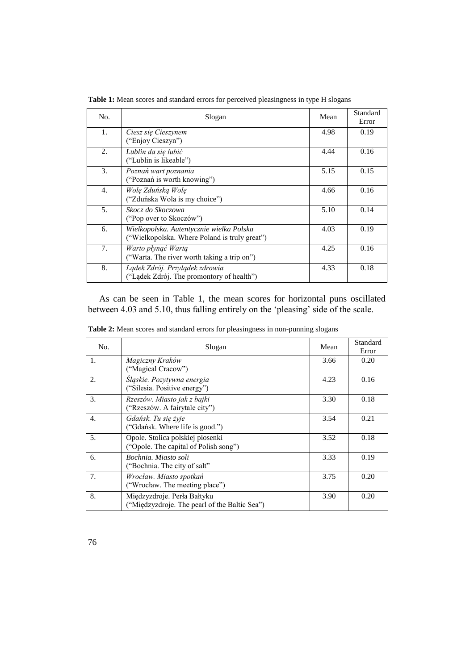| No. | Slogan                                                                                    | Mean | Standard<br>Error |
|-----|-------------------------------------------------------------------------------------------|------|-------------------|
| 1.  | Ciesz się Cieszynem<br>("Enjoy Cieszyn")                                                  | 4.98 | 0.19              |
| 2.  | Lublin da się lubić<br>("Lublin is likeable")                                             | 4.44 | 0.16              |
| 3.  | Poznań wart poznania<br>("Poznań is worth knowing")                                       | 5.15 | 0.15              |
| 4.  | Wolę Zduńską Wolę<br>("Zduńska Wola is my choice")                                        | 4.66 | 0.16              |
| 5.  | Skocz do Skoczowa<br>("Pop over to Skoczów")                                              | 5.10 | 0.14              |
| 6.  | Wielkopolska. Autentycznie wielka Polska<br>("Wielkopolska. Where Poland is truly great") | 4.03 | 0.19              |
| 7.  | Warto płynąć Wartą<br>("Warta. The river worth taking a trip on")                         | 4.25 | 0.16              |
| 8.  | Lądek Zdrój. Przylądek zdrowia<br>("Lądek Zdrój. The promontory of health")               | 4.33 | 0.18              |

**Table 1:** Mean scores and standard errors for perceived pleasingness in type H slogans

As can be seen in Table 1, the mean scores for horizontal puns oscillated between 4.03 and 5.10, thus falling entirely on the 'pleasing' side of the scale.

| No. | Slogan                                                                       | Mean | Standard<br>Error |
|-----|------------------------------------------------------------------------------|------|-------------------|
| 1.  | Magiczny Kraków<br>("Magical Cracow")                                        | 3.66 | 0.20              |
| 2.  | Śląskie. Pozytywna energia<br>("Silesia. Positive energy")                   | 4.23 | 0.16              |
| 3.  | Rzeszów. Miasto jak z bajki<br>("Rzeszów. A fairytale city")                 | 3.30 | 0.18              |
| 4.  | Gdańsk. Tu się żyje<br>("Gdańsk. Where life is good.")                       | 3.54 | 0.21              |
| 5.  | Opole. Stolica polskiej piosenki<br>("Opole. The capital of Polish song")    | 3.52 | 0.18              |
| 6.  | Bochnia. Miasto soli<br>("Bochnia. The city of salt"                         | 3.33 | 0.19              |
| 7.  | Wrocław. Miasto spotkań<br>("Wrocław. The meeting place")                    | 3.75 | 0.20              |
| 8.  | Międzyzdroje. Perła Bałtyku<br>("Międzyzdroje. The pearl of the Baltic Sea") | 3.90 | 0.20              |

**Table 2:** Mean scores and standard errors for pleasingness in non-punning slogans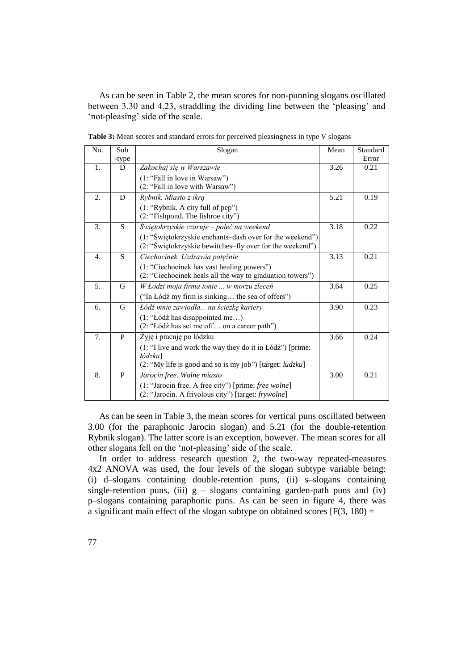As can be seen in Table 2, the mean scores for non-punning slogans oscillated between 3.30 and 4.23, straddling the dividing line between the 'pleasing' and 'not-pleasing' side of the scale.

| No.              | Sub   | Slogan                                                      |      | Standard |
|------------------|-------|-------------------------------------------------------------|------|----------|
|                  | -type |                                                             |      | Error    |
| 1.               | D     | Zakochaj się w Warszawie                                    | 3.26 | 0.21     |
|                  |       | (1: "Fall in love in Warsaw")                               |      |          |
|                  |       | (2: "Fall in love with Warsaw")                             |      |          |
| 2.               | D     | Rybnik. Miasto z ikrą                                       | 5.21 | 0.19     |
|                  |       | (1: "Rybnik. A city full of pep")                           |      |          |
|                  |       | (2: "Fishpond. The fishroe city")                           |      |          |
| 3.               | S     | Świętokrzyskie czaruje – poleć na weekend                   | 3.18 | 0.22     |
|                  |       | (1: "Świętokrzyskie enchants-dash over for the weekend")    |      |          |
|                  |       | (2: "Świętokrzyskie bewitches-fly over for the weekend")    |      |          |
| $\overline{4}$ . | S     | Ciechocinek. Uzdrawia potężnie                              | 3.13 | 0.21     |
|                  |       | (1: "Ciechocinek has vast healing powers")                  |      |          |
|                  |       | (2: "Ciechocinek heals all the way to graduation towers")   |      |          |
| 5.               | G     | W Łodzi moja firma tonie  w morzu zleceń                    | 3.64 | 0.25     |
|                  |       | ("In Łódź my firm is sinking the sea of offers")            |      |          |
| 6.               | G     | Łódź mnie zawiodła  na ścieżkę kariery                      | 3.90 | 0.23     |
|                  |       | (1: "Lódź has disappointed me)                              |      |          |
|                  |       | (2: "Łódź has set me off on a career path")                 |      |          |
| 7.               | P     | Żyję i pracuję po łódzku                                    | 3.66 | 0.24     |
|                  |       | $(1:$ "I live and work the way they do it in Łódź") [prime: |      |          |
|                  |       | <i>łódzku</i> ]                                             |      |          |
|                  |       | (2: "My life is good and so is my job") [target: ludzku]    |      |          |
| 8.               | P     | Jarocin free. Wolne miasto                                  | 3.00 | 0.21     |
|                  |       | (1: "Jarocin free. A free city") [prime: free wolne]        |      |          |
|                  |       | (2: "Jarocin. A frivolous city") [target: frywolne]         |      |          |

Table 3: Mean scores and standard errors for perceived pleasingness in type V slogans

As can be seen in Table 3, the mean scores for vertical puns oscillated between 3.00 (for the paraphonic Jarocin slogan) and 5.21 (for the double-retention Rybnik slogan). The latter score is an exception, however. The mean scores for all other slogans fell on the 'not-pleasing' side of the scale.

In order to address research question 2, the two-way repeated-measures 4x2 ANOVA was used, the four levels of the slogan subtype variable being: (i) d–slogans containing double-retention puns, (ii) s–slogans containing single-retention puns, (iii)  $g -$  slogans containing garden-path puns and (iv) p–slogans containing paraphonic puns. As can be seen in figure 4, there was a significant main effect of the slogan subtype on obtained scores  $[F(3, 180) =$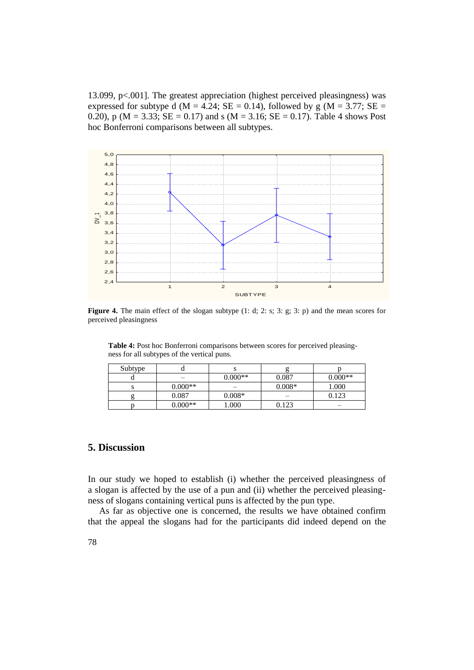13.099, p<.001]. The greatest appreciation (highest perceived pleasingness) was expressed for subtype d (M = 4.24; SE = 0.14), followed by g (M = 3.77; SE = 0.20), p ( $M = 3.33$ ;  $SE = 0.17$ ) and s ( $M = 3.16$ ;  $SE = 0.17$ ). Table 4 shows Post hoc Bonferroni comparisons between all subtypes.



**Figure 4.** The main effect of the slogan subtype (1: d; 2: s; 3: g; 3: p) and the mean scores for perceived pleasingness

**Table 4:** Post hoc Bonferroni comparisons between scores for perceived pleasingness for all subtypes of the vertical puns.

| Subtype |           |           |          |           |
|---------|-----------|-----------|----------|-----------|
|         |           | $0.000**$ | 0.087    | $0.000**$ |
|         | $0.000**$ | _         | $0.008*$ | .000      |
|         | 0.087     | $0.008*$  | -        | በ 123     |
|         | $0.000**$ | 1.000     | 0.123    |           |

# **5. Discussion**

In our study we hoped to establish (i) whether the perceived pleasingness of a slogan is affected by the use of a pun and (ii) whether the perceived pleasingness of slogans containing vertical puns is affected by the pun type.

As far as objective one is concerned, the results we have obtained confirm that the appeal the slogans had for the participants did indeed depend on the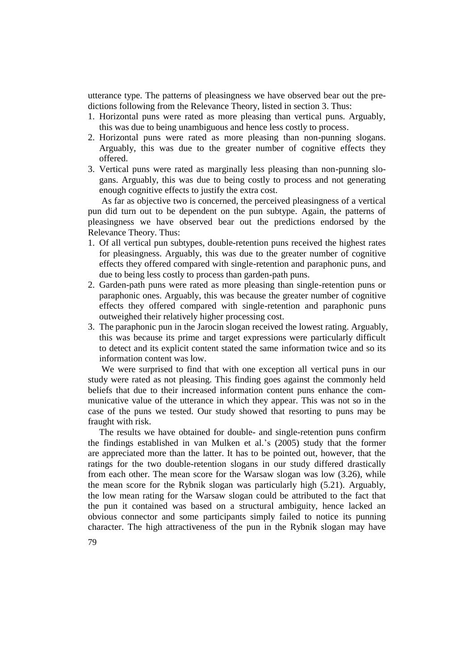utterance type. The patterns of pleasingness we have observed bear out the predictions following from the Relevance Theory, listed in section 3. Thus:

- 1. Horizontal puns were rated as more pleasing than vertical puns. Arguably, this was due to being unambiguous and hence less costly to process.
- 2. Horizontal puns were rated as more pleasing than non-punning slogans. Arguably, this was due to the greater number of cognitive effects they offered.
- 3. Vertical puns were rated as marginally less pleasing than non-punning slogans. Arguably, this was due to being costly to process and not generating enough cognitive effects to justify the extra cost.

As far as objective two is concerned, the perceived pleasingness of a vertical pun did turn out to be dependent on the pun subtype. Again, the patterns of pleasingness we have observed bear out the predictions endorsed by the Relevance Theory. Thus:

- 1. Of all vertical pun subtypes, double-retention puns received the highest rates for pleasingness. Arguably, this was due to the greater number of cognitive effects they offered compared with single-retention and paraphonic puns, and due to being less costly to process than garden-path puns.
- 2. Garden-path puns were rated as more pleasing than single-retention puns or paraphonic ones. Arguably, this was because the greater number of cognitive effects they offered compared with single-retention and paraphonic puns outweighed their relatively higher processing cost.
- 3. The paraphonic pun in the Jarocin slogan received the lowest rating. Arguably, this was because its prime and target expressions were particularly difficult to detect and its explicit content stated the same information twice and so its information content was low.

We were surprised to find that with one exception all vertical puns in our study were rated as not pleasing. This finding goes against the commonly held beliefs that due to their increased information content puns enhance the communicative value of the utterance in which they appear. This was not so in the case of the puns we tested. Our study showed that resorting to puns may be fraught with risk.

The results we have obtained for double- and single-retention puns confirm the findings established in van Mulken et al.'s (2005) study that the former are appreciated more than the latter. It has to be pointed out, however, that the ratings for the two double-retention slogans in our study differed drastically from each other. The mean score for the Warsaw slogan was low (3.26), while the mean score for the Rybnik slogan was particularly high (5.21). Arguably, the low mean rating for the Warsaw slogan could be attributed to the fact that the pun it contained was based on a structural ambiguity, hence lacked an obvious connector and some participants simply failed to notice its punning character. The high attractiveness of the pun in the Rybnik slogan may have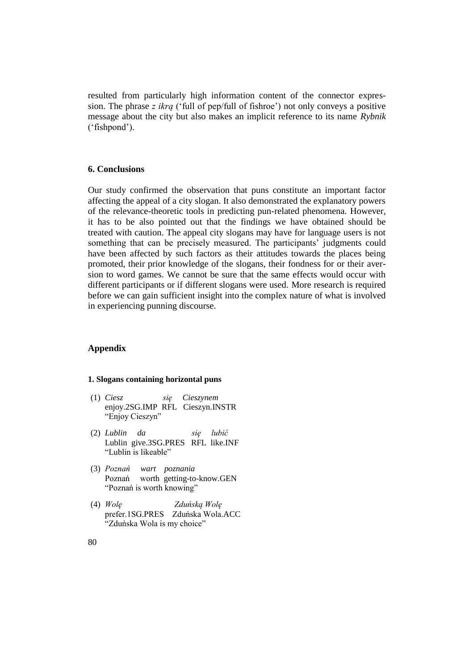resulted from particularly high information content of the connector expression. The phrase *z ikrą* ('full of pep/full of fishroe') not only conveys a positive message about the city but also makes an implicit reference to its name *Rybnik*  ('fishpond').

## **6. Conclusions**

Our study confirmed the observation that puns constitute an important factor affecting the appeal of a city slogan. It also demonstrated the explanatory powers of the relevance-theoretic tools in predicting pun-related phenomena. However, it has to be also pointed out that the findings we have obtained should be treated with caution. The appeal city slogans may have for language users is not something that can be precisely measured. The participants' judgments could have been affected by such factors as their attitudes towards the places being promoted, their prior knowledge of the slogans, their fondness for or their aversion to word games. We cannot be sure that the same effects would occur with different participants or if different slogans were used. More research is required before we can gain sufficient insight into the complex nature of what is involved in experiencing punning discourse.

# **Appendix**

#### **1. Slogans containing horizontal puns**

- (1) *Ciesz się Cieszynem* enjoy.2SG.IMP RFL Cieszyn.INSTR "Enjoy Cieszyn"
- (2) *Lublin da się lubić* Lublin give.3SG.PRES RFL like.INF "Lublin is likeable"
- (3) *Poznań wart poznania* Poznań worth getting-to-know.GEN "Poznań is worth knowing"
- (4) *Wolę Zduńską Wolę* prefer.1SG.PRES Zduńska Wola.ACC "Zduńska Wola is my choice"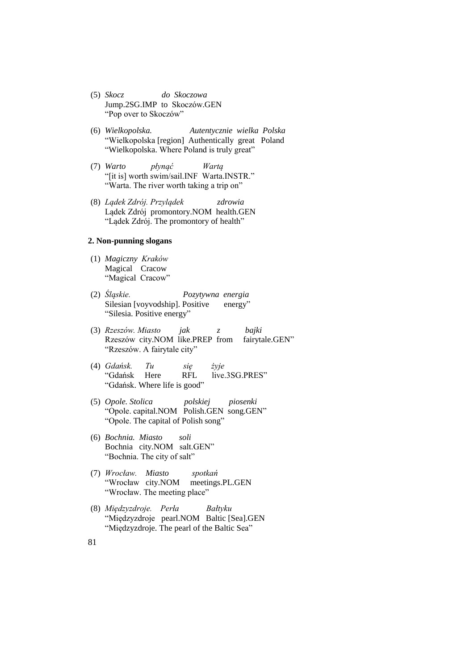- (5) *Skocz do Skoczowa* Jump.2SG.IMP to Skoczów.GEN "Pop over to Skoczów"
- (6) *Wielkopolska. Autentycznie wielka Polska* "Wielkopolska [region] Authentically great Poland "Wielkopolska. Where Poland is truly great"
- (7) *Warto płynąć Wartą* "[it is] worth swim/sail.INF Warta.INSTR." "Warta. The river worth taking a trip on"
- (8) *Lądek Zdrój. Przylądek zdrowia* Lądek Zdrój promontory.NOM health.GEN "Lądek Zdrój. The promontory of health"

## **2. Non-punning slogans**

- (1) *Magiczny Kraków* Magical Cracow "Magical Cracow"
- (2) *Śląskie. Pozytywna energia* Silesian [voyvodship]. Positive energy" "Silesia. Positive energy"
- (3) *Rzeszów. Miasto jak z bajki* Rzeszów city.NOM like.PREP from fairytale.GEN" "Rzeszów. A fairytale city"
- (4) *Gdańsk. Tu się żyje* "Gdańsk Here RFL live.3SG.PRES" "Gdańsk. Where life is good"
- (5) *Opole. Stolica polskiej piosenki* "Opole. capital.NOM Polish.GEN song.GEN" "Opole. The capital of Polish song"
- (6) *Bochnia. Miasto soli* Bochnia city.NOM salt.GEN" "Bochnia. The city of salt"
- (7) *Wrocław. Miasto spotkań* "Wrocław city.NOM meetings.PL.GEN "Wrocław. The meeting place"
- (8) *Międzyzdroje. Perła Bałtyku* "Międzyzdroje pearl.NOM Baltic [Sea].GEN "Międzyzdroje. The pearl of the Baltic Sea"
- 81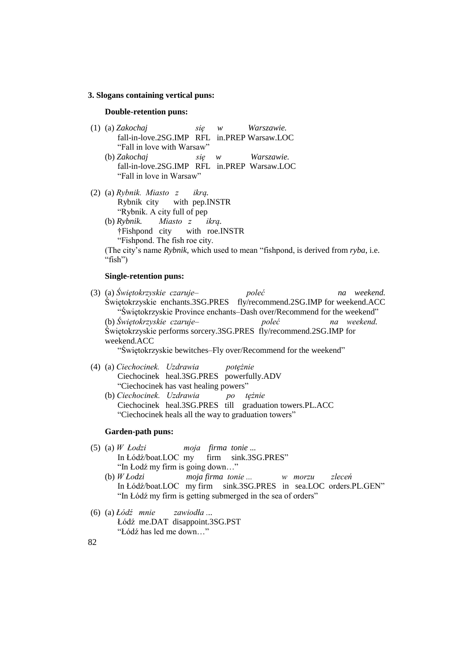#### **3. Slogans containing vertical puns:**

#### **Double-retention puns:**

- (1) (a) *Zakochaj się w Warszawie.* fall-in-love.2SG.IMP RFL in.PREP Warsaw.LOC "Fall in love with Warsaw" (b) *Zakochaj się w Warszawie.*
	- fall-in-love.2SG.IMP RFL in.PREP Warsaw.LOC "Fall in love in Warsaw"
- (2) (a) *Rybnik. Miasto z ikrą.* Rybnik city with pep.INSTR "Rybnik. A city full of pep

(b) *Rybnik. Miasto z ikrą.* †Fishpond city with roe.INSTR "Fishpond. The fish roe city. (The city's name *Rybnik*, which used to mean "fishpond, is derived from *ryba*, i.e. "fish")

#### **Single-retention puns:**

- (3) (a) *Świętokrzyskie czaruje– poleć na weekend.* Świętokrzyskie enchants.3SG.PRES fly/recommend.2SG.IMP for weekend.ACC "Świętokrzyskie Province enchants–Dash over/Recommend for the weekend" (b) *Świętokrzyskie czaruje– poleć na weekend.* Świętokrzyskie performs sorcery.3SG.PRES fly/recommend.2SG.IMP for weekend.ACC "Świętokrzyskie bewitches–Fly over/Recommend for the weekend"
- (4) (a) *Ciechocinek. Uzdrawia potężnie* Ciechocinek heal.3SG.PRES powerfully.ADV "Ciechocinek has vast healing powers"
	- (b) *Ciechocinek. Uzdrawia po tężnie* Ciechocinek heal.3SG.PRES till graduation towers.PL.ACC "Ciechocinek heals all the way to graduation towers"

#### **Garden-path puns:**

- (5) (a) *W Łodzi moja firma tonie ...* firm sink.3SG.PRES" "In Łodź my firm is going down…"
	- (b) *W Łodzi moja firma tonie ... w morzu zleceń* In Łódź/boat.LOC my firm sink.3SG.PRES in sea.LOC orders.PL.GEN" "In Łódź my firm is getting submerged in the sea of orders"
- (6) (a) *Łódź mnie zawiodła ...* Łódź me.DAT disappoint.3SG.PST "Łódź has led me down…"

82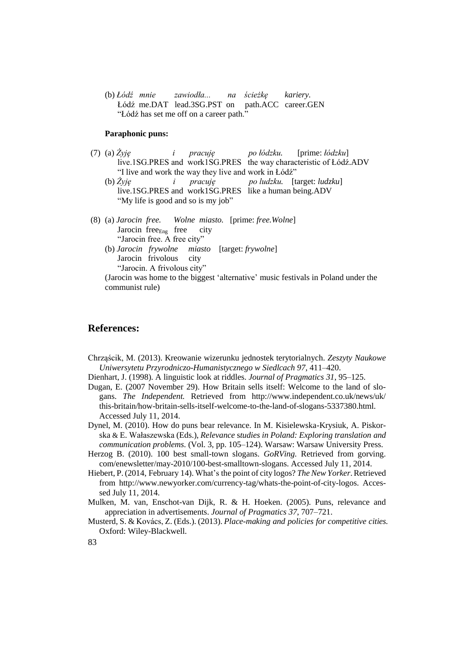(b) *Łódź mnie zawiodła... na ścieżkę kariery.* Łódź me.DAT lead.3SG.PST on path.ACC career.GEN "Łódź has set me off on a career path."

#### **Paraphonic puns:**

- (7) (a) *Żyję i pracuję po łódzku.* [prime: *łódzku*] live.1SG.PRES and work1SG.PRES the way characteristic of Łódź.ADV "I live and work the way they live and work in Łódź"
	- (b) *Żyję i pracuję po ludzku.* [target: *ludzku*] live.1SG.PRES and work1SG.PRES like a human being.ADV "My life is good and so is my job"
- (8) (a) *Jarocin free. Wolne miasto.* [prime: *free.Wolne*] Jarocin free<sub>Eng</sub> free city "Jarocin free. A free city" (b) *Jarocin frywolne miasto* [target: *frywolne*]
	- Jarocin frivolous city "Jarocin. A frivolous city"

(Jarocin was home to the biggest 'alternative' music festivals in Poland under the communist rule)

# **References:**

- Chrząścik, M. (2013). Kreowanie wizerunku jednostek terytorialnych. *Zeszyty Naukowe Uniwersytetu Przyrodniczo-Humanistycznego w Siedlcach 97*, 411–420.
- Dienhart, J. (1998). A linguistic look at riddles. *Journal of Pragmatics 31*, 95–125.
- Dugan, E. (2007 November 29). How Britain sells itself: Welcome to the land of slogans. *The Independent.* Retrieved from [http://www.independent.co.uk/news/uk/](http://www.independent.co.uk/news/uk/%20%0bthis-britain/how-britain-sells-itself-welcome-to-the-land-of-slogans-5337380.html)  [this-britain/how-britain-sells-itself-welcome-to-the-land-of-slogans-5337380.html.](http://www.independent.co.uk/news/uk/%20%0bthis-britain/how-britain-sells-itself-welcome-to-the-land-of-slogans-5337380.html) Accessed July 11, 2014.
- Dynel, M. (2010). How do puns bear relevance. In M. Kisielewska-Krysiuk, A. Piskorska & E. Wałaszewska (Eds.), *Relevance* s*tudies in Poland: Exploring translation and communication problems.* (Vol. 3, pp. 105–124). Warsaw: Warsaw University Press.
- Herzog B. (2010). 100 best small-town slogans. *GoRVing.* Retrieved from [gorving.](http://gorving.com/enewsletter/may-2010/100-best-smalltown-slogans) [com/enewsletter/may-2010/100-best-smalltown-slogans.](http://gorving.com/enewsletter/may-2010/100-best-smalltown-slogans) Accessed July 11, 2014.
- Hiebert, P. (2014, February 14). What's the point of city logos? *The New Yorker*.Retrieved from [http://www.newyorker.com/currency-tag/whats-the-point-of-city-logos. Acces](http://www.newyorker.com/currency-tag/whats-the-point-of-city-logos.%20Acces-sed%20July%2011)[sed July 11,](http://www.newyorker.com/currency-tag/whats-the-point-of-city-logos.%20Acces-sed%20July%2011) 2014.
- Mulken, M. van, Enschot-van Dijk, R. & H. Hoeken. (2005). Puns, relevance and appreciation in advertisements. *Journal of Pragmatics 37*, 707–721.
- Musterd, S. & Kovács, Z. (Eds.). (2013). *Place-making and policies for competitive cities.*  Oxford: Wiley-Blackwell.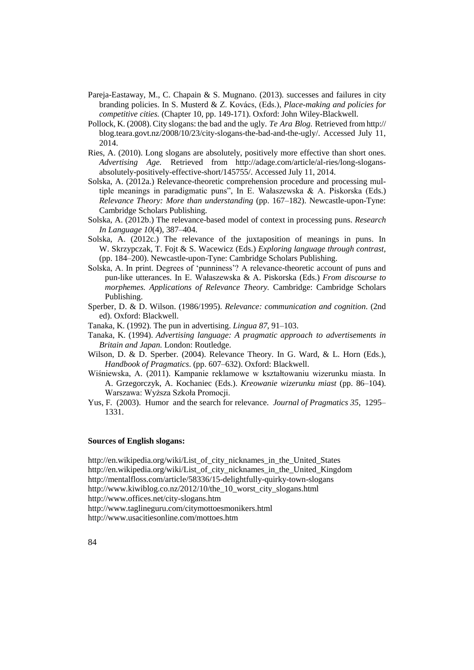- Pareja-Eastaway, M., C. Chapain & S. Mugnano. (2013). successes and failures in city branding policies. In S. Musterd & Z. Kovács, (Eds.), *Place-making and policies for competitive cities.* (Chapter 10, pp. 149-171). Oxford: John Wiley-Blackwell.
- Pollock, K. (2008). City slogans: the bad and the ugly. *Te Ara Blog.* Retrieved from http:// [blog.teara.govt.nz/2008/10/23/city-slogans-the-bad-and-the-ugly/.](http://blog.teara.govt.nz/2008/10/23/city-slogans-the-bad-and-the-ugly/) Accessed July 11, 2014.
- Ries, A. (2010). Long slogans are absolutely, positively more effective than short ones. *Advertising Age.* Retrieved from http:/[/adage.com/article/al-ries/long-slogans](http://adage.com/article/al-ries/long-slogans-absolutely-positively-effective-short/145755/)[absolutely-positively-effective-short/145755/.](http://adage.com/article/al-ries/long-slogans-absolutely-positively-effective-short/145755/) Accessed July 11, 2014.
- Solska, A. (2012a.) Relevance-theoretic comprehension procedure and processing multiple meanings in paradigmatic puns", In E. Wałaszewska & A. Piskorska (Eds.) *Relevance Theory: More than understanding* (pp. 167–182). Newcastle-upon-Tyne: Cambridge Scholars Publishing.
- Solska, A. (2012b.) The relevance-based model of context in processing puns. *Research In Language 10*(4), 387–404.
- Solska, A. (2012c.) The relevance of the juxtaposition of meanings in puns. In W. Skrzypczak, T. Fojt & S. Wacewicz (Eds.) *Exploring language through contrast*, (pp. 184–200). Newcastle-upon-Tyne: Cambridge Scholars Publishing.
- Solska, A. In print. Degrees of 'punniness'? A relevance-theoretic account of puns and pun-like utterances. In E. Wałaszewska & A. Piskorska (Eds.) *From discourse to morphemes. Applications of Relevance Theory.* Cambridge: Cambridge Scholars Publishing.
- Sperber, D. & D. Wilson. (1986/1995). *Relevance: communication and cognition*. (2nd ed). Oxford: Blackwell.
- Tanaka, K. (1992). The pun in advertising. *Lingua 87*, 91–103.
- Tanaka, K. (1994). *Advertising language: A pragmatic approach to advertisements in Britain and Japan.* London: Routledge.
- Wilson, D. & D. Sperber. (2004). Relevance Theory. In G. Ward, & L. Horn (Eds.), *Handbook of Pragmatics*. (pp. 607–632). Oxford: Blackwell.
- Wiśniewska, A*.* (2011). Kampanie reklamowe w kształtowaniu wizerunku miasta. In A. Grzegorczyk, A. Kochaniec (Eds.). *Kreowanie wizerunku miast* (pp. 86–104). Warszawa: Wyższa Szkoła Promocji.
- Yus, F. (2003). Humor and the search for relevance. *Journal of Pragmatics 35*, 1295– 1331.

#### **Sources of English slogans:**

[http://en.wikipedia.org/wiki/List\\_of\\_city\\_nicknames\\_in\\_the\\_United\\_States](http://en.wikipedia.org/wiki/List_of_city_nicknames_in_the_United_States) [http://en.wikipedia.org/wiki/List\\_of\\_city\\_nicknames\\_in\\_the\\_United\\_Kingdom](http://en.wikipedia.org/wiki/List_of_city_nicknames_in_the_United_Kingdom) <http://mentalfloss.com/article/58336/15-delightfully-quirky-town-slogans> [http://www.kiwiblog.co.nz/2012/10/the\\_10\\_worst\\_city\\_slogans.html](http://www.kiwiblog.co.nz/2012/10/the_10_worst_city_slogans.html)

<http://www.offices.net/city-slogans.htm>

[http://www.taglineguru.com/citymottoesmonikers.html](http://www.taglineguru.com/citymottosmonikers.html)

[http://www.usacitiesonline.com/mottoes.htm](http://www.usacitiesonline.com/mottos.htm)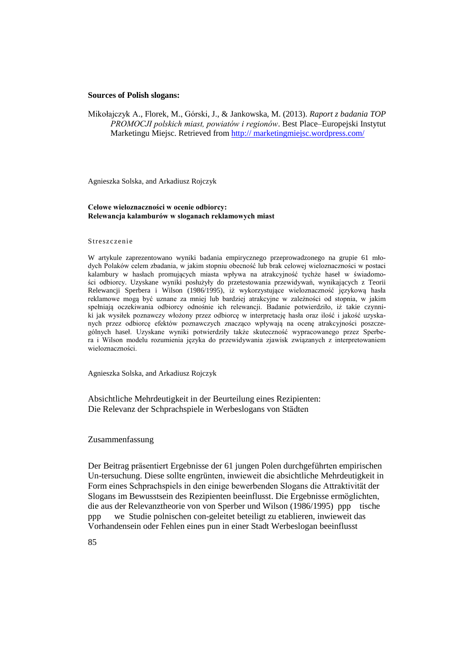#### **Sources of Polish slogans:**

Mikołajczyk A., Florek, M., Górski, J., & Jankowska, M. (2013). *Raport z badania TOP PROMOCJI polskich miast, powiatów i regionów*. Best Place–Europejski Instytut Marketingu Miejsc. Retrieved from http:// marketingmiejsc.wordpress.com/

Agnieszka Solska, and Arkadiusz Rojczyk

#### **Celowe wieloznaczności w ocenie odbiorcy: Relewancja kalamburów w sloganach reklamowych miast**

#### Streszczenie

W artykule zaprezentowano wyniki badania empirycznego przeprowadzonego na grupie 61 młodych Polaków celem zbadania, w jakim stopniu obecność lub brak celowej wieloznaczności w postaci kalambury w hasłach promujących miasta wpływa na atrakcyjność tychże haseł w świadomości odbiorcy. Uzyskane wyniki posłużyły do przetestowania przewidywań, wynikających z Teorii Relewancji Sperbera i Wilson (1986/1995), iż wykorzystujące wieloznaczność językową hasła reklamowe mogą być uznane za mniej lub bardziej atrakcyjne w zależności od stopnia, w jakim spełniają oczekiwania odbiorcy odnośnie ich relewancji. Badanie potwierdziło, iż takie czynniki jak wysiłek poznawczy włożony przez odbiorcę w interpretację hasła oraz ilość i jakość uzyskanych przez odbiorcę efektów poznawczych znacząco wpływają na ocenę atrakcyjności poszczególnych haseł. Uzyskane wyniki potwierdziły także skuteczność wypracowanego przez Sperbera i Wilson modelu rozumienia języka do przewidywania zjawisk związanych z interpretowaniem wieloznaczności.

Agnieszka Solska, and Arkadiusz Rojczyk

Absichtliche Mehrdeutigkeit in der Beurteilung eines Rezipienten: Die Relevanz der Schprachspiele in Werbeslogans von Städten

#### Zusammenfassung

Der Beitrag präsentiert Ergebnisse der 61 jungen Polen durchgeführten empirischen Un-tersuchung. Diese sollte engrünten, inwieweit die absichtliche Mehrdeutigkeit in Form eines Schprachspiels in den einige bewerbenden Slogans die Attraktivität der Slogans im Bewusstsein des Rezipienten beeinflusst. Die Ergebnisse ermöglichten, die aus der Relevanztheorie von von Sperber und Wilson (1986/1995) ppp tische ppp we Studie polnischen con-geleitet beteiligt zu etablieren, inwieweit das Vorhandensein oder Fehlen eines pun in einer Stadt Werbeslogan beeinflusst